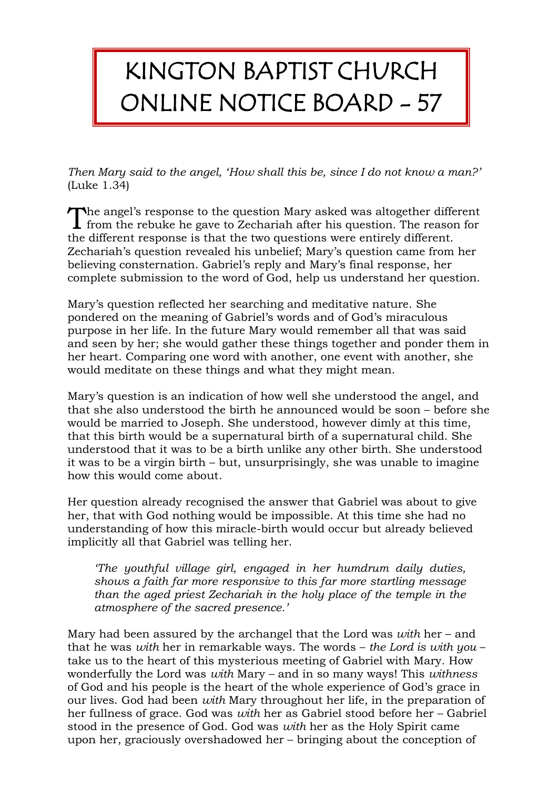## KINGTON BAPTIST CHURCH ONLINE NOTICE BOARD - 57

*Then Mary said to the angel, 'How shall this be, since I do not know a man?'*  (Luke 1.34)

The angel's response to the question Mary asked was altogether different The angel's response to the question Mary asked was altogether different from the rebuke he gave to Zechariah after his question. The reason for the different response is that the two questions were entirely different. Zechariah's question revealed his unbelief; Mary's question came from her believing consternation. Gabriel's reply and Mary's final response, her complete submission to the word of God, help us understand her question.

Mary's question reflected her searching and meditative nature. She pondered on the meaning of Gabriel's words and of God's miraculous purpose in her life. In the future Mary would remember all that was said and seen by her; she would gather these things together and ponder them in her heart. Comparing one word with another, one event with another, she would meditate on these things and what they might mean.

Mary's question is an indication of how well she understood the angel, and that she also understood the birth he announced would be soon – before she would be married to Joseph. She understood, however dimly at this time, that this birth would be a supernatural birth of a supernatural child. She understood that it was to be a birth unlike any other birth. She understood it was to be a virgin birth – but, unsurprisingly, she was unable to imagine how this would come about.

Her question already recognised the answer that Gabriel was about to give her, that with God nothing would be impossible. At this time she had no understanding of how this miracle-birth would occur but already believed implicitly all that Gabriel was telling her.

*'The youthful village girl, engaged in her humdrum daily duties, shows a faith far more responsive to this far more startling message than the aged priest Zechariah in the holy place of the temple in the atmosphere of the sacred presence.'*

Mary had been assured by the archangel that the Lord was *with* her – and that he was *with* her in remarkable ways. The words – *the Lord is with you* – take us to the heart of this mysterious meeting of Gabriel with Mary. How wonderfully the Lord was *with* Mary – and in so many ways! This *withness* of God and his people is the heart of the whole experience of God's grace in our lives. God had been *with* Mary throughout her life, in the preparation of her fullness of grace. God was *with* her as Gabriel stood before her – Gabriel stood in the presence of God. God was *with* her as the Holy Spirit came upon her, graciously overshadowed her – bringing about the conception of